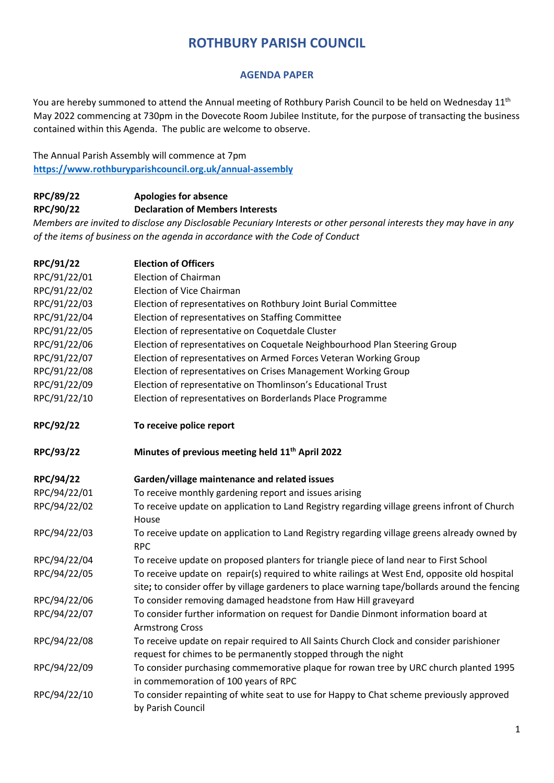# **ROTHBURY PARISH COUNCIL**

#### **AGENDA PAPER**

You are hereby summoned to attend the Annual meeting of Rothbury Parish Council to be held on Wednesday 11<sup>th</sup> May 2022 commencing at 730pm in the Dovecote Room Jubilee Institute, for the purpose of transacting the business contained within this Agenda. The public are welcome to observe.

The Annual Parish Assembly will commence at 7pm **<https://www.rothburyparishcouncil.org.uk/annual-assembly>**

### **RPC/89/22 Apologies for absence RPC/90/22 Declaration of Members Interests**

*Members are invited to disclose any Disclosable Pecuniary Interests or other personal interests they may have in any of the items of business on the agenda in accordance with the Code of Conduct* 

| RPC/91/22    | <b>Election of Officers</b>                                                                                                                                                                    |  |  |  |
|--------------|------------------------------------------------------------------------------------------------------------------------------------------------------------------------------------------------|--|--|--|
| RPC/91/22/01 | <b>Election of Chairman</b>                                                                                                                                                                    |  |  |  |
| RPC/91/22/02 | <b>Election of Vice Chairman</b>                                                                                                                                                               |  |  |  |
| RPC/91/22/03 | Election of representatives on Rothbury Joint Burial Committee                                                                                                                                 |  |  |  |
| RPC/91/22/04 | Election of representatives on Staffing Committee                                                                                                                                              |  |  |  |
| RPC/91/22/05 | Election of representative on Coquetdale Cluster                                                                                                                                               |  |  |  |
| RPC/91/22/06 | Election of representatives on Coquetale Neighbourhood Plan Steering Group                                                                                                                     |  |  |  |
| RPC/91/22/07 | Election of representatives on Armed Forces Veteran Working Group                                                                                                                              |  |  |  |
| RPC/91/22/08 | Election of representatives on Crises Management Working Group                                                                                                                                 |  |  |  |
| RPC/91/22/09 | Election of representative on Thomlinson's Educational Trust                                                                                                                                   |  |  |  |
| RPC/91/22/10 | Election of representatives on Borderlands Place Programme                                                                                                                                     |  |  |  |
| RPC/92/22    | To receive police report                                                                                                                                                                       |  |  |  |
| RPC/93/22    | Minutes of previous meeting held 11 <sup>th</sup> April 2022                                                                                                                                   |  |  |  |
| RPC/94/22    | Garden/village maintenance and related issues                                                                                                                                                  |  |  |  |
| RPC/94/22/01 | To receive monthly gardening report and issues arising                                                                                                                                         |  |  |  |
| RPC/94/22/02 | To receive update on application to Land Registry regarding village greens infront of Church<br>House                                                                                          |  |  |  |
| RPC/94/22/03 | To receive update on application to Land Registry regarding village greens already owned by<br><b>RPC</b>                                                                                      |  |  |  |
| RPC/94/22/04 | To receive update on proposed planters for triangle piece of land near to First School                                                                                                         |  |  |  |
| RPC/94/22/05 | To receive update on repair(s) required to white railings at West End, opposite old hospital<br>site; to consider offer by village gardeners to place warning tape/bollards around the fencing |  |  |  |
| RPC/94/22/06 | To consider removing damaged headstone from Haw Hill graveyard                                                                                                                                 |  |  |  |
| RPC/94/22/07 | To consider further information on request for Dandie Dinmont information board at<br><b>Armstrong Cross</b>                                                                                   |  |  |  |
| RPC/94/22/08 | To receive update on repair required to All Saints Church Clock and consider parishioner<br>request for chimes to be permanently stopped through the night                                     |  |  |  |
| RPC/94/22/09 | To consider purchasing commemorative plaque for rowan tree by URC church planted 1995<br>in commemoration of 100 years of RPC                                                                  |  |  |  |
| RPC/94/22/10 | To consider repainting of white seat to use for Happy to Chat scheme previously approved<br>by Parish Council                                                                                  |  |  |  |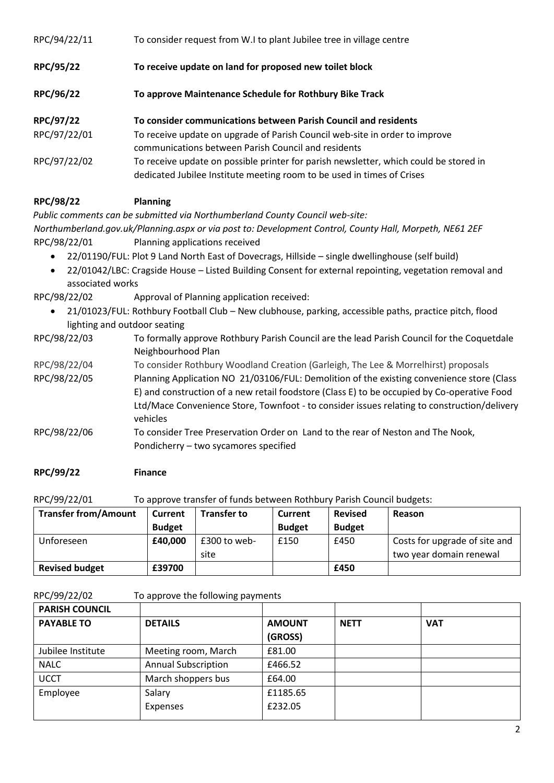| RPC/94/22/11 | To consider request from W.I to plant Jubilee tree in village centre                                                               |
|--------------|------------------------------------------------------------------------------------------------------------------------------------|
| RPC/95/22    | To receive update on land for proposed new toilet block                                                                            |
| RPC/96/22    | To approve Maintenance Schedule for Rothbury Bike Track                                                                            |
|              |                                                                                                                                    |
| RPC/97/22    | To consider communications between Parish Council and residents                                                                    |
| RPC/97/22/01 | To receive update on upgrade of Parish Council web-site in order to improve<br>communications between Parish Council and residents |

#### **RPC/98/22 Planning**

*Public comments can be submitted via Northumberland County Council web-site: Northumberland.gov.uk/Planning.aspx or via post to: Development Control, County Hall, Morpeth, NE61 2EF* RPC/98/22/01 Planning applications received

- 22/01190/FUL: Plot 9 Land North East of Dovecrags, Hillside single dwellinghouse (self build)
- 22/01042/LBC: Cragside House Listed Building Consent for external repointing, vegetation removal and associated works

RPC/98/22/02 Approval of Planning application received:

• 21/01023/FUL: Rothbury Football Club – New clubhouse, parking, accessible paths, practice pitch, flood lighting and outdoor seating

| RPC/98/22/03 | To formally approve Rothbury Parish Council are the lead Parish Council for the Coquetdale  |
|--------------|---------------------------------------------------------------------------------------------|
|              | Neighbourhood Plan                                                                          |
| RPC/98/22/04 | To consider Rothbury Woodland Creation (Garleigh, The Lee & Morrelhirst) proposals          |
| RPC/98/22/05 | Planning Application NO 21/03106/FUL: Demolition of the existing convenience store (Class   |
|              | E) and construction of a new retail foodstore (Class E) to be occupied by Co-operative Food |
|              | Ltd/Mace Convenience Store, Townfoot - to consider issues relating to construction/delivery |
|              | vehicles                                                                                    |
| RPC/98/22/06 | To consider Tree Preservation Order on Land to the rear of Neston and The Nook,             |

## **RPC/99/22 Finance**

RPC/99/22/01 To approve transfer of funds between Rothbury Parish Council budgets:

Pondicherry – two sycamores specified

| <b>Transfer from/Amount</b> | Current       | <b>Transfer to</b> | Current       | <b>Revised</b> | Reason                        |
|-----------------------------|---------------|--------------------|---------------|----------------|-------------------------------|
|                             | <b>Budget</b> |                    | <b>Budget</b> | <b>Budget</b>  |                               |
| Unforeseen                  | £40,000       | £300 to web-       | £150          | £450           | Costs for upgrade of site and |
|                             |               | site               |               |                | two year domain renewal       |
| <b>Revised budget</b>       | £39700        |                    |               | £450           |                               |

RPC/99/22/02 To approve the following payments

| <b>PARISH COUNCIL</b> |                            |               |             |            |
|-----------------------|----------------------------|---------------|-------------|------------|
| <b>PAYABLE TO</b>     | <b>DETAILS</b>             | <b>AMOUNT</b> | <b>NETT</b> | <b>VAT</b> |
|                       |                            | (GROSS)       |             |            |
| Jubilee Institute     | Meeting room, March        | £81.00        |             |            |
| <b>NALC</b>           | <b>Annual Subscription</b> | £466.52       |             |            |
| <b>UCCT</b>           | March shoppers bus         | £64.00        |             |            |
| Employee              | Salary                     | £1185.65      |             |            |
|                       | Expenses                   | £232.05       |             |            |